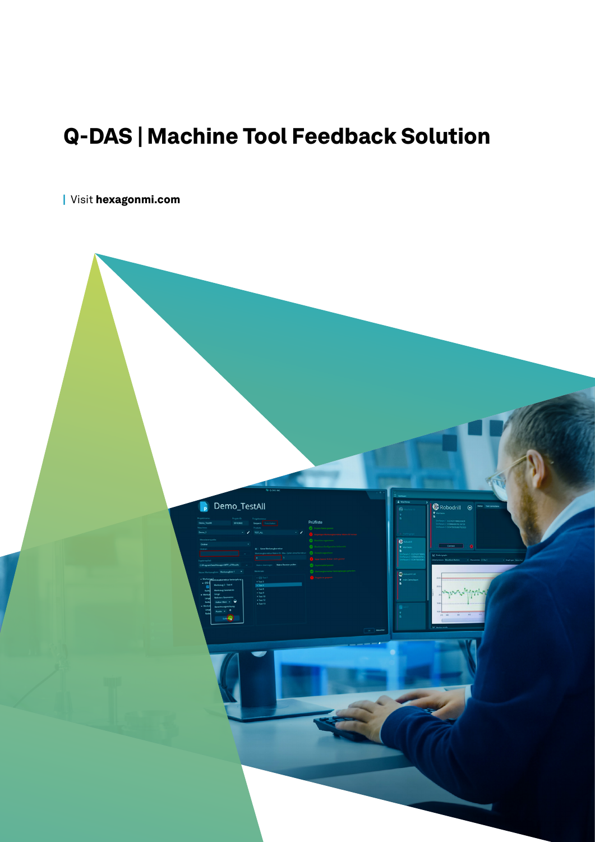## Q-DAS | Machine Tool Feedback Solution

| Visit [hexagonmi.com](https://www.hexagonmi.com/)